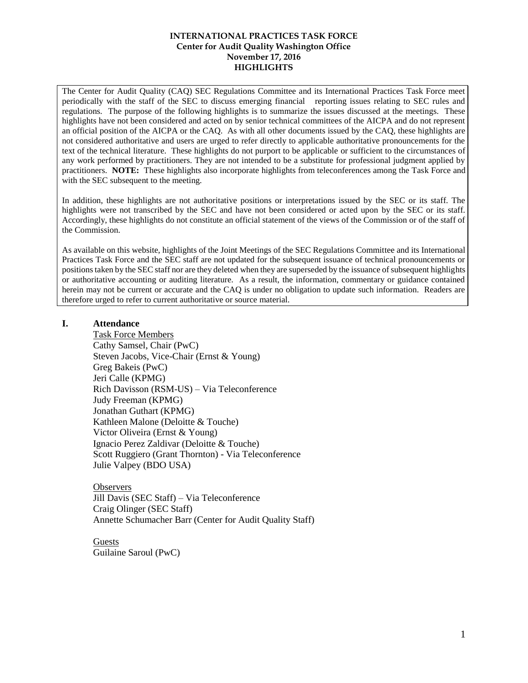The Center for Audit Quality (CAQ) SEC Regulations Committee and its International Practices Task Force meet periodically with the staff of the SEC to discuss emerging financial reporting issues relating to SEC rules and regulations. The purpose of the following highlights is to summarize the issues discussed at the meetings. These highlights have not been considered and acted on by senior technical committees of the AICPA and do not represent an official position of the AICPA or the CAQ. As with all other documents issued by the CAQ, these highlights are not considered authoritative and users are urged to refer directly to applicable authoritative pronouncements for the text of the technical literature. These highlights do not purport to be applicable or sufficient to the circumstances of any work performed by practitioners. They are not intended to be a substitute for professional judgment applied by practitioners. **NOTE:** These highlights also incorporate highlights from teleconferences among the Task Force and with the SEC subsequent to the meeting.

In addition, these highlights are not authoritative positions or interpretations issued by the SEC or its staff. The highlights were not transcribed by the SEC and have not been considered or acted upon by the SEC or its staff. Accordingly, these highlights do not constitute an official statement of the views of the Commission or of the staff of the Commission.

As available on this website, highlights of the Joint Meetings of the SEC Regulations Committee and its International Practices Task Force and the SEC staff are not updated for the subsequent issuance of technical pronouncements or positions taken by the SEC staff nor are they deleted when they are superseded by the issuance of subsequent highlights or authoritative accounting or auditing literature. As a result, the information, commentary or guidance contained herein may not be current or accurate and the CAQ is under no obligation to update such information. Readers are therefore urged to refer to current authoritative or source material.

### **I. Attendance**

Task Force Members Cathy Samsel, Chair (PwC) Steven Jacobs, Vice-Chair (Ernst & Young) Greg Bakeis (PwC) Jeri Calle (KPMG) Rich Davisson (RSM-US) – Via Teleconference Judy Freeman (KPMG) Jonathan Guthart (KPMG) Kathleen Malone (Deloitte & Touche) Victor Oliveira (Ernst & Young) Ignacio Perez Zaldivar (Deloitte & Touche) Scott Ruggiero (Grant Thornton) - Via Teleconference Julie Valpey (BDO USA)

**Observers** Jill Davis (SEC Staff) – Via Teleconference Craig Olinger (SEC Staff) Annette Schumacher Barr (Center for Audit Quality Staff)

Guests Guilaine Saroul (PwC)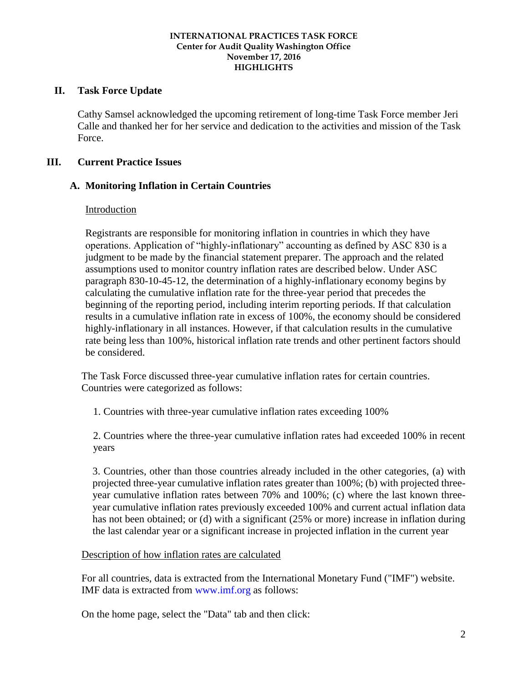## **II. Task Force Update**

Cathy Samsel acknowledged the upcoming retirement of long-time Task Force member Jeri Calle and thanked her for her service and dedication to the activities and mission of the Task Force.

# **III. Current Practice Issues**

# **A. Monitoring Inflation in Certain Countries**

## Introduction

Registrants are responsible for monitoring inflation in countries in which they have operations. Application of "highly-inflationary" accounting as defined by ASC 830 is a judgment to be made by the financial statement preparer. The approach and the related assumptions used to monitor country inflation rates are described below. Under ASC paragraph 830-10-45-12, the determination of a highly-inflationary economy begins by calculating the cumulative inflation rate for the three-year period that precedes the beginning of the reporting period, including interim reporting periods. If that calculation results in a cumulative inflation rate in excess of 100%, the economy should be considered highly-inflationary in all instances. However, if that calculation results in the cumulative rate being less than 100%, historical inflation rate trends and other pertinent factors should be considered.

The Task Force discussed three-year cumulative inflation rates for certain countries. Countries were categorized as follows:

1. Countries with three-year cumulative inflation rates exceeding 100%

2. Countries where the three-year cumulative inflation rates had exceeded 100% in recent years

3. Countries, other than those countries already included in the other categories, (a) with projected three-year cumulative inflation rates greater than 100%; (b) with projected threeyear cumulative inflation rates between 70% and 100%; (c) where the last known threeyear cumulative inflation rates previously exceeded 100% and current actual inflation data has not been obtained; or (d) with a significant (25% or more) increase in inflation during the last calendar year or a significant increase in projected inflation in the current year

## Description of how inflation rates are calculated

For all countries, data is extracted from the International Monetary Fund ("IMF") website. IMF data is extracted from www.imf.org as follows:

On the home page, select the "Data" tab and then click: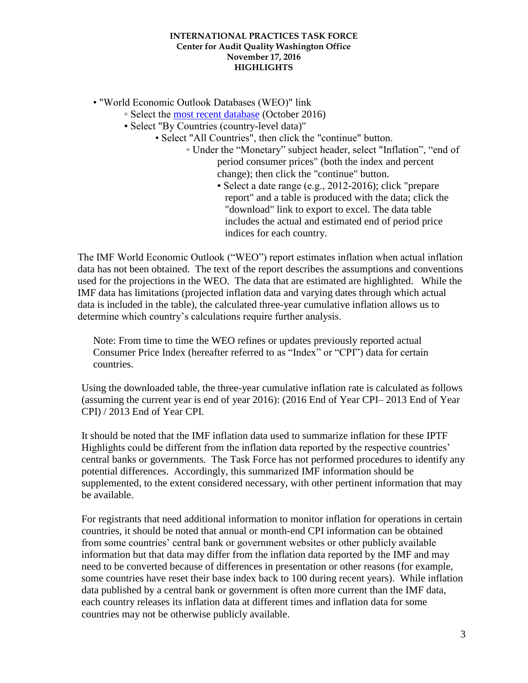• "World Economic Outlook Databases (WEO)" link

- Select the [most recent database](http://www.imf.org/external/pubs/ft/weo/2016/02/weodata/index.aspx) (October 2016)
- Select "By Countries (country-level data)"
	- Select "All Countries", then click the "continue" button.
		- Under the "Monetary" subject header, select "Inflation", "end of period consumer prices" (both the index and percent change); then click the "continue" button.
			- Select a date range (e.g., 2012-2016); click "prepare report" and a table is produced with the data; click the "download" link to export to excel. The data table includes the actual and estimated end of period price indices for each country.

The IMF World Economic Outlook ("WEO") report estimates inflation when actual inflation data has not been obtained. The text of the report describes the assumptions and conventions used for the projections in the WEO. The data that are estimated are highlighted. While the IMF data has limitations (projected inflation data and varying dates through which actual data is included in the table), the calculated three-year cumulative inflation allows us to determine which country's calculations require further analysis.

Note: From time to time the WEO refines or updates previously reported actual Consumer Price Index (hereafter referred to as "Index" or "CPI") data for certain countries.

Using the downloaded table, the three-year cumulative inflation rate is calculated as follows (assuming the current year is end of year 2016): (2016 End of Year CPI– 2013 End of Year CPI) / 2013 End of Year CPI.

It should be noted that the IMF inflation data used to summarize inflation for these IPTF Highlights could be different from the inflation data reported by the respective countries' central banks or governments. The Task Force has not performed procedures to identify any potential differences. Accordingly, this summarized IMF information should be supplemented, to the extent considered necessary, with other pertinent information that may be available.

For registrants that need additional information to monitor inflation for operations in certain countries, it should be noted that annual or month-end CPI information can be obtained from some countries' central bank or government websites or other publicly available information but that data may differ from the inflation data reported by the IMF and may need to be converted because of differences in presentation or other reasons (for example, some countries have reset their base index back to 100 during recent years). While inflation data published by a central bank or government is often more current than the IMF data, each country releases its inflation data at different times and inflation data for some countries may not be otherwise publicly available.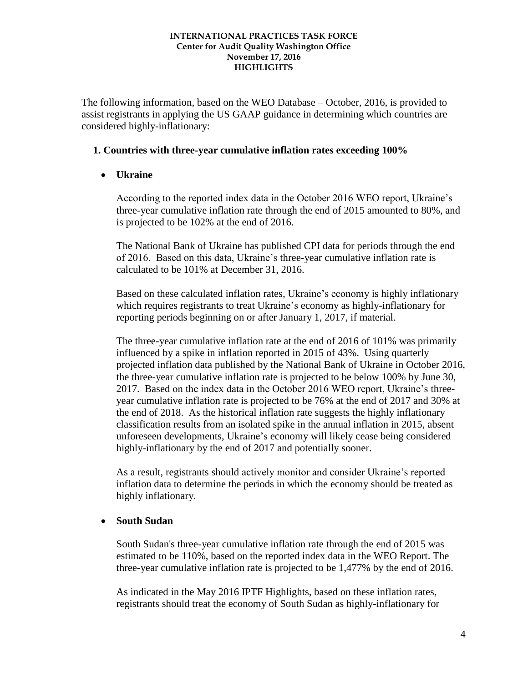The following information, based on the WEO Database – October, 2016, is provided to assist registrants in applying the US GAAP guidance in determining which countries are considered highly-inflationary:

### **1. Countries with three-year cumulative inflation rates exceeding 100%**

## **Ukraine**

According to the reported index data in the October 2016 WEO report, Ukraine's three-year cumulative inflation rate through the end of 2015 amounted to 80%, and is projected to be 102% at the end of 2016.

The National Bank of Ukraine has published CPI data for periods through the end of 2016. Based on this data, Ukraine's three-year cumulative inflation rate is calculated to be 101% at December 31, 2016.

Based on these calculated inflation rates, Ukraine's economy is highly inflationary which requires registrants to treat Ukraine's economy as highly-inflationary for reporting periods beginning on or after January 1, 2017, if material.

The three-year cumulative inflation rate at the end of 2016 of 101% was primarily influenced by a spike in inflation reported in 2015 of 43%. Using quarterly projected inflation data published by the National Bank of Ukraine in October 2016, the three-year cumulative inflation rate is projected to be below 100% by June 30, 2017. Based on the index data in the October 2016 WEO report, Ukraine's threeyear cumulative inflation rate is projected to be 76% at the end of 2017 and 30% at the end of 2018. As the historical inflation rate suggests the highly inflationary classification results from an isolated spike in the annual inflation in 2015, absent unforeseen developments, Ukraine's economy will likely cease being considered highly-inflationary by the end of 2017 and potentially sooner.

As a result, registrants should actively monitor and consider Ukraine's reported inflation data to determine the periods in which the economy should be treated as highly inflationary.

## **South Sudan**

South Sudan's three-year cumulative inflation rate through the end of 2015 was estimated to be 110%, based on the reported index data in the WEO Report. The three-year cumulative inflation rate is projected to be 1,477% by the end of 2016.

As indicated in the May 2016 IPTF Highlights, based on these inflation rates, registrants should treat the economy of South Sudan as highly-inflationary for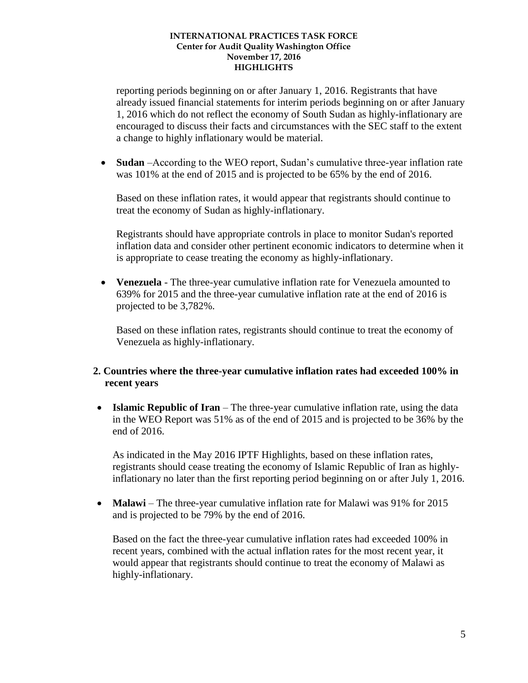reporting periods beginning on or after January 1, 2016. Registrants that have already issued financial statements for interim periods beginning on or after January 1, 2016 which do not reflect the economy of South Sudan as highly-inflationary are encouraged to discuss their facts and circumstances with the SEC staff to the extent a change to highly inflationary would be material.

 **Sudan** –According to the WEO report, Sudan's cumulative three-year inflation rate was 101% at the end of 2015 and is projected to be 65% by the end of 2016.

Based on these inflation rates, it would appear that registrants should continue to treat the economy of Sudan as highly-inflationary.

Registrants should have appropriate controls in place to monitor Sudan's reported inflation data and consider other pertinent economic indicators to determine when it is appropriate to cease treating the economy as highly-inflationary.

 **Venezuela** - The three-year cumulative inflation rate for Venezuela amounted to 639% for 2015 and the three-year cumulative inflation rate at the end of 2016 is projected to be 3,782%.

Based on these inflation rates, registrants should continue to treat the economy of Venezuela as highly-inflationary.

## **2. Countries where the three-year cumulative inflation rates had exceeded 100% in recent years**

 **Islamic Republic of Iran** – The three-year cumulative inflation rate, using the data in the WEO Report was 51% as of the end of 2015 and is projected to be 36% by the end of 2016.

As indicated in the May 2016 IPTF Highlights, based on these inflation rates, registrants should cease treating the economy of Islamic Republic of Iran as highlyinflationary no later than the first reporting period beginning on or after July 1, 2016.

• **Malawi** – The three-year cumulative inflation rate for Malawi was 91% for 2015 and is projected to be 79% by the end of 2016.

Based on the fact the three-year cumulative inflation rates had exceeded 100% in recent years, combined with the actual inflation rates for the most recent year, it would appear that registrants should continue to treat the economy of Malawi as highly-inflationary.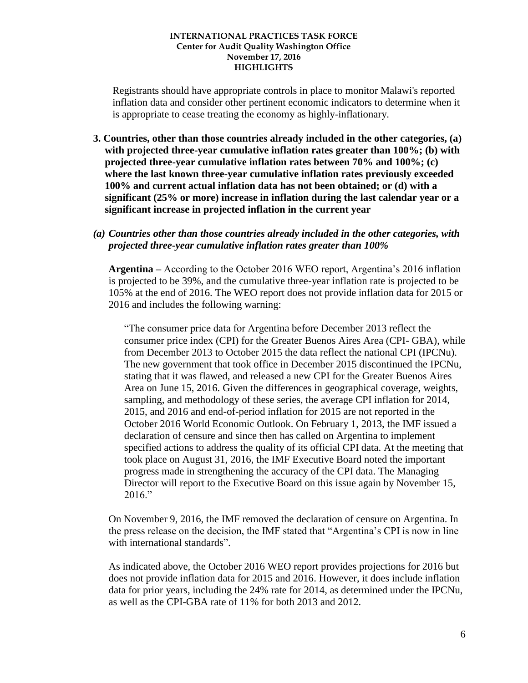Registrants should have appropriate controls in place to monitor Malawi's reported inflation data and consider other pertinent economic indicators to determine when it is appropriate to cease treating the economy as highly-inflationary.

- **3. Countries, other than those countries already included in the other categories, (a) with projected three-year cumulative inflation rates greater than 100%; (b) with projected three-year cumulative inflation rates between 70% and 100%; (c) where the last known three-year cumulative inflation rates previously exceeded 100% and current actual inflation data has not been obtained; or (d) with a significant (25% or more) increase in inflation during the last calendar year or a significant increase in projected inflation in the current year**
- *(a) Countries other than those countries already included in the other categories, with projected three-year cumulative inflation rates greater than 100%*

**Argentina –** According to the October 2016 WEO report, Argentina's 2016 inflation is projected to be 39%, and the cumulative three-year inflation rate is projected to be 105% at the end of 2016. The WEO report does not provide inflation data for 2015 or 2016 and includes the following warning:

"The consumer price data for Argentina before December 2013 reflect the consumer price index (CPI) for the Greater Buenos Aires Area (CPI- GBA), while from December 2013 to October 2015 the data reflect the national CPI (IPCNu). The new government that took office in December 2015 discontinued the IPCNu, stating that it was flawed, and released a new CPI for the Greater Buenos Aires Area on June 15, 2016. Given the differences in geographical coverage, weights, sampling, and methodology of these series, the average CPI inflation for 2014, 2015, and 2016 and end-of-period inflation for 2015 are not reported in the October 2016 World Economic Outlook. On February 1, 2013, the IMF issued a declaration of censure and since then has called on Argentina to implement specified actions to address the quality of its official CPI data. At the meeting that took place on August 31, 2016, the IMF Executive Board noted the important progress made in strengthening the accuracy of the CPI data. The Managing Director will report to the Executive Board on this issue again by November 15, 2016."

On November 9, 2016, the IMF removed the declaration of censure on Argentina. In the press release on the decision, the IMF stated that "Argentina's CPI is now in line with international standards".

As indicated above, the October 2016 WEO report provides projections for 2016 but does not provide inflation data for 2015 and 2016. However, it does include inflation data for prior years, including the 24% rate for 2014, as determined under the IPCNu, as well as the CPI-GBA rate of 11% for both 2013 and 2012.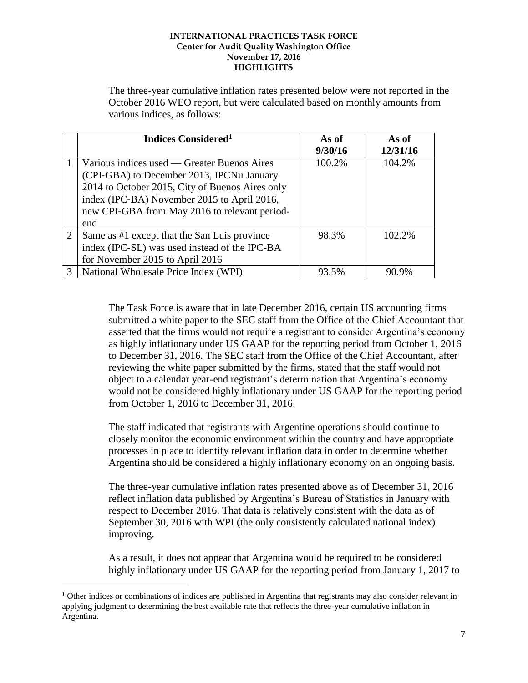The three‐year cumulative inflation rates presented below were not reported in the October 2016 WEO report, but were calculated based on monthly amounts from various indices, as follows:

|   | Indices Considered <sup>1</sup>                 | As of   | As of    |
|---|-------------------------------------------------|---------|----------|
|   |                                                 | 9/30/16 | 12/31/16 |
|   | Various indices used — Greater Buenos Aires     | 100.2%  | 104.2%   |
|   | (CPI-GBA) to December 2013, IPCNu January       |         |          |
|   | 2014 to October 2015, City of Buenos Aires only |         |          |
|   | index (IPC-BA) November 2015 to April 2016,     |         |          |
|   | new CPI-GBA from May 2016 to relevant period-   |         |          |
|   | end                                             |         |          |
| 2 | Same as #1 except that the San Luis province    | 98.3%   | 102.2%   |
|   | index (IPC-SL) was used instead of the IPC-BA   |         |          |
|   | for November 2015 to April 2016                 |         |          |
| 3 | National Wholesale Price Index (WPI)            | 93.5%   | 90.9%    |

The Task Force is aware that in late December 2016, certain US accounting firms submitted a white paper to the SEC staff from the Office of the Chief Accountant that asserted that the firms would not require a registrant to consider Argentina's economy as highly inflationary under US GAAP for the reporting period from October 1, 2016 to December 31, 2016. The SEC staff from the Office of the Chief Accountant, after reviewing the white paper submitted by the firms, stated that the staff would not object to a calendar year-end registrant's determination that Argentina's economy would not be considered highly inflationary under US GAAP for the reporting period from October 1, 2016 to December 31, 2016.

The staff indicated that registrants with Argentine operations should continue to closely monitor the economic environment within the country and have appropriate processes in place to identify relevant inflation data in order to determine whether Argentina should be considered a highly inflationary economy on an ongoing basis.

The three-year cumulative inflation rates presented above as of December 31, 2016 reflect inflation data published by Argentina's Bureau of Statistics in January with respect to December 2016. That data is relatively consistent with the data as of September 30, 2016 with WPI (the only consistently calculated national index) improving.

As a result, it does not appear that Argentina would be required to be considered highly inflationary under US GAAP for the reporting period from January 1, 2017 to

 $\overline{a}$ 

 $1$  Other indices or combinations of indices are published in Argentina that registrants may also consider relevant in applying judgment to determining the best available rate that reflects the three-year cumulative inflation in Argentina.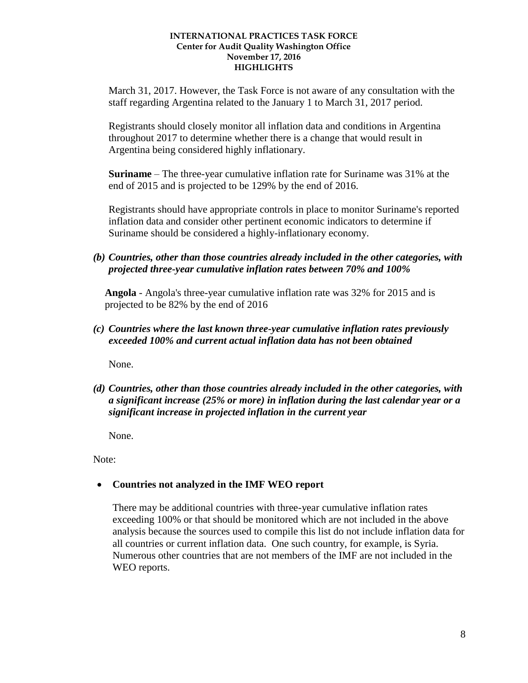March 31, 2017. However, the Task Force is not aware of any consultation with the staff regarding Argentina related to the January 1 to March 31, 2017 period.

Registrants should closely monitor all inflation data and conditions in Argentina throughout 2017 to determine whether there is a change that would result in Argentina being considered highly inflationary.

**Suriname** – The three-year cumulative inflation rate for Suriname was 31% at the end of 2015 and is projected to be 129% by the end of 2016.

Registrants should have appropriate controls in place to monitor Suriname's reported inflation data and consider other pertinent economic indicators to determine if Suriname should be considered a highly-inflationary economy.

*(b) Countries, other than those countries already included in the other categories, with projected three-year cumulative inflation rates between 70% and 100%*

**Angola** - Angola's three-year cumulative inflation rate was 32% for 2015 and is projected to be 82% by the end of 2016

*(c) Countries where the last known three-year cumulative inflation rates previously exceeded 100% and current actual inflation data has not been obtained*

None.

*(d) Countries, other than those countries already included in the other categories, with a significant increase (25% or more) in inflation during the last calendar year or a significant increase in projected inflation in the current year* 

None.

Note:

**Countries not analyzed in the IMF WEO report**

There may be additional countries with three-year cumulative inflation rates exceeding 100% or that should be monitored which are not included in the above analysis because the sources used to compile this list do not include inflation data for all countries or current inflation data. One such country, for example, is Syria. Numerous other countries that are not members of the IMF are not included in the WEO reports.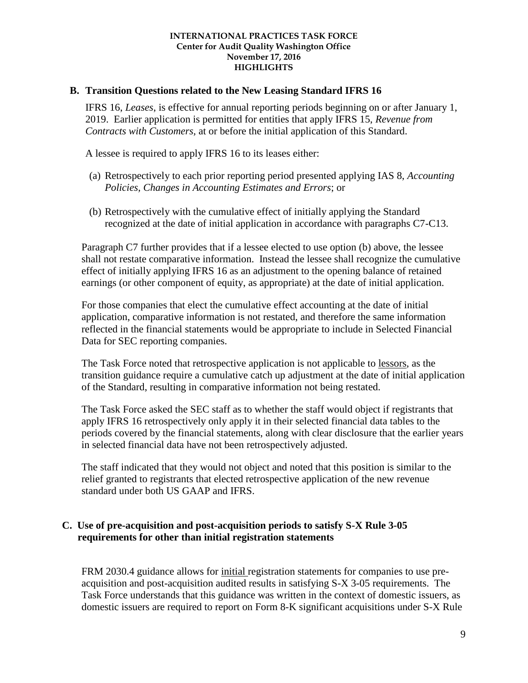### **B. Transition Questions related to the New Leasing Standard IFRS 16**

IFRS 16, *Leases*, is effective for annual reporting periods beginning on or after January 1, 2019. Earlier application is permitted for entities that apply IFRS 15, *Revenue from Contracts with Customers,* at or before the initial application of this Standard.

A lessee is required to apply IFRS 16 to its leases either:

- (a) Retrospectively to each prior reporting period presented applying IAS 8, *Accounting Policies, Changes in Accounting Estimates and Errors*; or
- (b) Retrospectively with the cumulative effect of initially applying the Standard recognized at the date of initial application in accordance with paragraphs C7-C13.

Paragraph C7 further provides that if a lessee elected to use option (b) above, the lessee shall not restate comparative information. Instead the lessee shall recognize the cumulative effect of initially applying IFRS 16 as an adjustment to the opening balance of retained earnings (or other component of equity, as appropriate) at the date of initial application.

For those companies that elect the cumulative effect accounting at the date of initial application, comparative information is not restated, and therefore the same information reflected in the financial statements would be appropriate to include in Selected Financial Data for SEC reporting companies.

The Task Force noted that retrospective application is not applicable to lessors, as the transition guidance require a cumulative catch up adjustment at the date of initial application of the Standard, resulting in comparative information not being restated.

The Task Force asked the SEC staff as to whether the staff would object if registrants that apply IFRS 16 retrospectively only apply it in their selected financial data tables to the periods covered by the financial statements, along with clear disclosure that the earlier years in selected financial data have not been retrospectively adjusted.

The staff indicated that they would not object and noted that this position is similar to the relief granted to registrants that elected retrospective application of the new revenue standard under both US GAAP and IFRS.

### **C. Use of pre-acquisition and post-acquisition periods to satisfy S-X Rule 3-05 requirements for other than initial registration statements**

FRM 2030.4 guidance allows for initial registration statements for companies to use preacquisition and post-acquisition audited results in satisfying S-X 3-05 requirements. The Task Force understands that this guidance was written in the context of domestic issuers, as domestic issuers are required to report on Form 8-K significant acquisitions under S-X Rule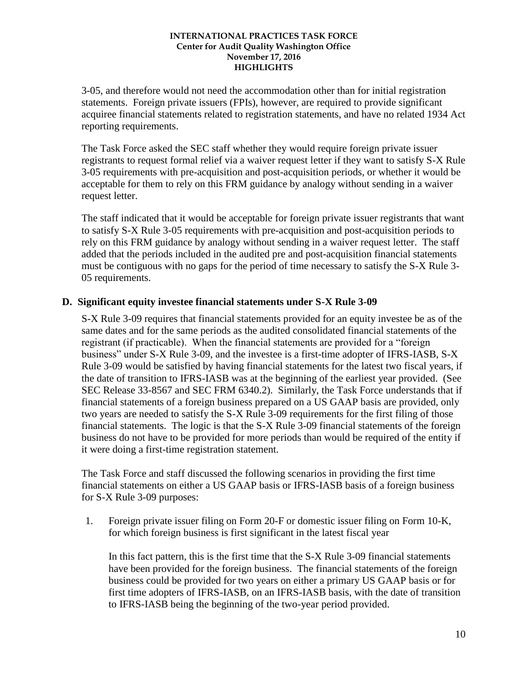3-05, and therefore would not need the accommodation other than for initial registration statements. Foreign private issuers (FPIs), however, are required to provide significant acquiree financial statements related to registration statements, and have no related 1934 Act reporting requirements.

The Task Force asked the SEC staff whether they would require foreign private issuer registrants to request formal relief via a waiver request letter if they want to satisfy S-X Rule 3-05 requirements with pre-acquisition and post-acquisition periods, or whether it would be acceptable for them to rely on this FRM guidance by analogy without sending in a waiver request letter.

The staff indicated that it would be acceptable for foreign private issuer registrants that want to satisfy S-X Rule 3-05 requirements with pre-acquisition and post-acquisition periods to rely on this FRM guidance by analogy without sending in a waiver request letter. The staff added that the periods included in the audited pre and post-acquisition financial statements must be contiguous with no gaps for the period of time necessary to satisfy the S-X Rule 3- 05 requirements.

## **D. Significant equity investee financial statements under S-X Rule 3-09**

S-X Rule 3-09 requires that financial statements provided for an equity investee be as of the same dates and for the same periods as the audited consolidated financial statements of the registrant (if practicable). When the financial statements are provided for a "foreign business" under S-X Rule 3-09, and the investee is a first-time adopter of IFRS-IASB, S-X Rule 3-09 would be satisfied by having financial statements for the latest two fiscal years, if the date of transition to IFRS-IASB was at the beginning of the earliest year provided. (See SEC Release 33-8567 and SEC FRM 6340.2). Similarly, the Task Force understands that if financial statements of a foreign business prepared on a US GAAP basis are provided, only two years are needed to satisfy the S-X Rule 3-09 requirements for the first filing of those financial statements. The logic is that the S-X Rule 3-09 financial statements of the foreign business do not have to be provided for more periods than would be required of the entity if it were doing a first-time registration statement.

The Task Force and staff discussed the following scenarios in providing the first time financial statements on either a US GAAP basis or IFRS-IASB basis of a foreign business for S-X Rule 3-09 purposes:

1. Foreign private issuer filing on Form 20-F or domestic issuer filing on Form 10-K, for which foreign business is first significant in the latest fiscal year

In this fact pattern, this is the first time that the S-X Rule 3-09 financial statements have been provided for the foreign business. The financial statements of the foreign business could be provided for two years on either a primary US GAAP basis or for first time adopters of IFRS-IASB, on an IFRS-IASB basis, with the date of transition to IFRS-IASB being the beginning of the two-year period provided.